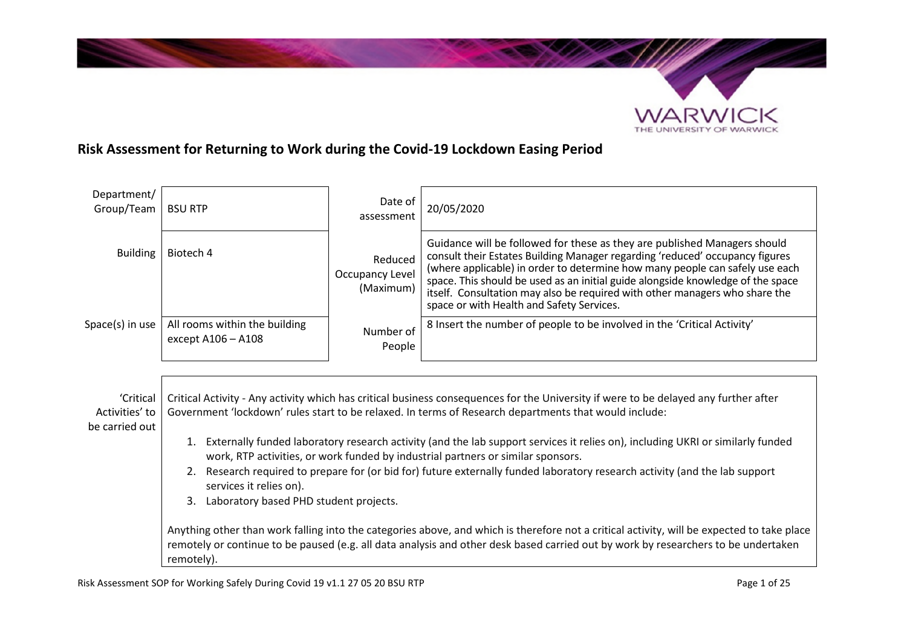

# **Risk Assessment for Returning to Work during the Covid-19 Lockdown Easing Period**

| Department/<br>Group/Team                     | <b>BSU RTP</b>                                                                                                                                                                                                                                                                                 | Date of<br>assessment                   | 20/05/2020                                                                                                                                                                                                                                                                                                                                                                                                                                               |
|-----------------------------------------------|------------------------------------------------------------------------------------------------------------------------------------------------------------------------------------------------------------------------------------------------------------------------------------------------|-----------------------------------------|----------------------------------------------------------------------------------------------------------------------------------------------------------------------------------------------------------------------------------------------------------------------------------------------------------------------------------------------------------------------------------------------------------------------------------------------------------|
| <b>Building</b>                               | Biotech 4                                                                                                                                                                                                                                                                                      | Reduced<br>Occupancy Level<br>(Maximum) | Guidance will be followed for these as they are published Managers should<br>consult their Estates Building Manager regarding 'reduced' occupancy figures<br>(where applicable) in order to determine how many people can safely use each<br>space. This should be used as an initial guide alongside knowledge of the space<br>itself. Consultation may also be required with other managers who share the<br>space or with Health and Safety Services. |
| Space(s) in use                               | All rooms within the building<br>except A106 - A108                                                                                                                                                                                                                                            | Number of<br>People                     | 8 Insert the number of people to be involved in the 'Critical Activity'                                                                                                                                                                                                                                                                                                                                                                                  |
|                                               |                                                                                                                                                                                                                                                                                                |                                         |                                                                                                                                                                                                                                                                                                                                                                                                                                                          |
| 'Critical<br>Activities' to<br>be carried out | Critical Activity - Any activity which has critical business consequences for the University if were to be delayed any further after<br>Government 'lockdown' rules start to be relaxed. In terms of Research departments that would include:                                                  |                                         |                                                                                                                                                                                                                                                                                                                                                                                                                                                          |
|                                               | Externally funded laboratory research activity (and the lab support services it relies on), including UKRI or similarly funded<br>1.<br>work, RTP activities, or work funded by industrial partners or similar sponsors.                                                                       |                                         |                                                                                                                                                                                                                                                                                                                                                                                                                                                          |
|                                               | 2. Research required to prepare for (or bid for) future externally funded laboratory research activity (and the lab support<br>services it relies on).<br>3. Laboratory based PHD student projects.                                                                                            |                                         |                                                                                                                                                                                                                                                                                                                                                                                                                                                          |
|                                               | Anything other than work falling into the categories above, and which is therefore not a critical activity, will be expected to take place<br>remotely or continue to be paused (e.g. all data analysis and other desk based carried out by work by researchers to be undertaken<br>remotely). |                                         |                                                                                                                                                                                                                                                                                                                                                                                                                                                          |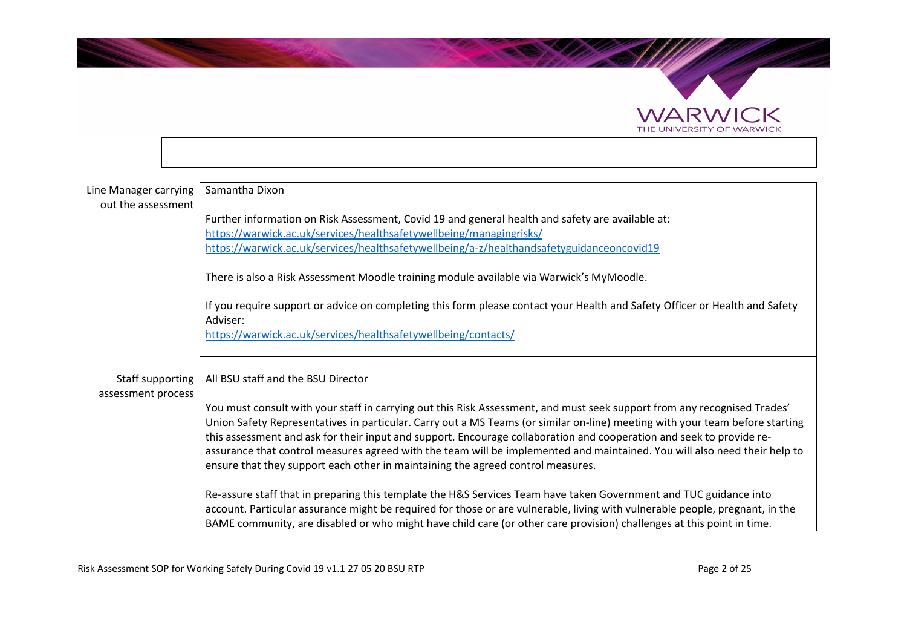

| Line Manager carrying<br>out the assessment | Samantha Dixon                                                                                                                                                                                                                                                                                                                                                                                                                                                                                                                                                                                   |
|---------------------------------------------|--------------------------------------------------------------------------------------------------------------------------------------------------------------------------------------------------------------------------------------------------------------------------------------------------------------------------------------------------------------------------------------------------------------------------------------------------------------------------------------------------------------------------------------------------------------------------------------------------|
|                                             | Further information on Risk Assessment, Covid 19 and general health and safety are available at:                                                                                                                                                                                                                                                                                                                                                                                                                                                                                                 |
|                                             | https://warwick.ac.uk/services/healthsafetywellbeing/managingrisks/<br>https://warwick.ac.uk/services/healthsafetywellbeing/a-z/healthandsafetyguidanceoncovid19                                                                                                                                                                                                                                                                                                                                                                                                                                 |
|                                             |                                                                                                                                                                                                                                                                                                                                                                                                                                                                                                                                                                                                  |
|                                             | There is also a Risk Assessment Moodle training module available via Warwick's MyMoodle.                                                                                                                                                                                                                                                                                                                                                                                                                                                                                                         |
|                                             | If you require support or advice on completing this form please contact your Health and Safety Officer or Health and Safety<br>Adviser:                                                                                                                                                                                                                                                                                                                                                                                                                                                          |
|                                             | https://warwick.ac.uk/services/healthsafetywellbeing/contacts/                                                                                                                                                                                                                                                                                                                                                                                                                                                                                                                                   |
| Staff supporting<br>assessment process      | All BSU staff and the BSU Director                                                                                                                                                                                                                                                                                                                                                                                                                                                                                                                                                               |
|                                             | You must consult with your staff in carrying out this Risk Assessment, and must seek support from any recognised Trades'<br>Union Safety Representatives in particular. Carry out a MS Teams (or similar on-line) meeting with your team before starting<br>this assessment and ask for their input and support. Encourage collaboration and cooperation and seek to provide re-<br>assurance that control measures agreed with the team will be implemented and maintained. You will also need their help to<br>ensure that they support each other in maintaining the agreed control measures. |
|                                             | Re-assure staff that in preparing this template the H&S Services Team have taken Government and TUC guidance into<br>account. Particular assurance might be required for those or are vulnerable, living with vulnerable people, pregnant, in the<br>BAME community, are disabled or who might have child care (or other care provision) challenges at this point in time.                                                                                                                                                                                                                       |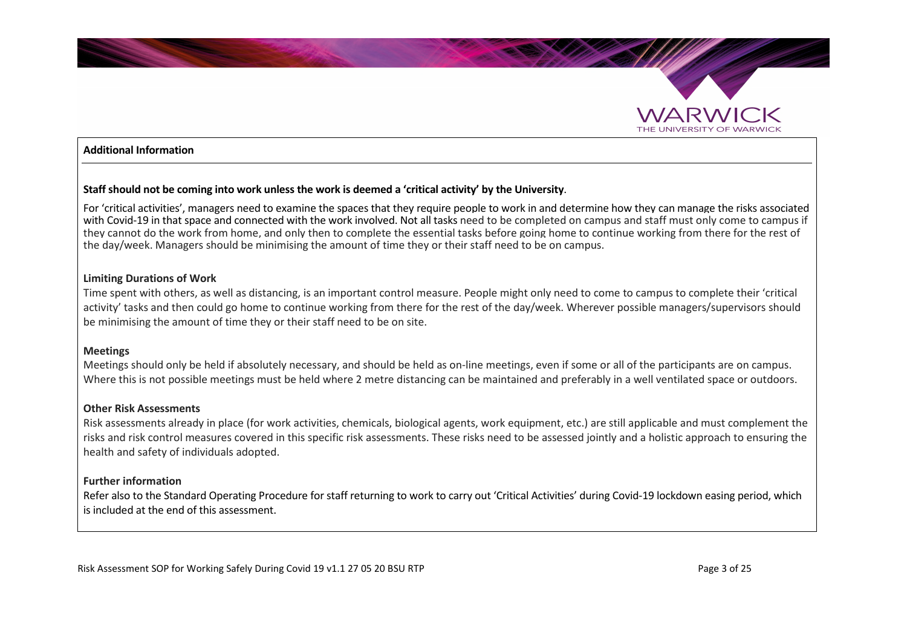

#### **Additional Information**

#### **Staff should not be coming into work unless the work is deemed a 'critical activity' by the University**.

For 'critical activities', managers need to examine the spaces that they require people to work in and determine how they can manage the risks associated with Covid-19 in that space and connected with the work involved. Not all tasks need to be completed on campus and staff must only come to campus if they cannot do the work from home, and only then to complete the essential tasks before going home to continue working from there for the rest of the day/week. Managers should be minimising the amount of time they or their staff need to be on campus.

#### **Limiting Durations of Work**

Time spent with others, as well as distancing, is an important control measure. People might only need to come to campus to complete their 'critical activity' tasks and then could go home to continue working from there for the rest of the day/week. Wherever possible managers/supervisors should be minimising the amount of time they or their staff need to be on site.

#### **Meetings**

Meetings should only be held if absolutely necessary, and should be held as on-line meetings, even if some or all of the participants are on campus. Where this is not possible meetings must be held where 2 metre distancing can be maintained and preferably in a well ventilated space or outdoors.

#### **Other Risk Assessments**

Risk assessments already in place (for work activities, chemicals, biological agents, work equipment, etc.) are still applicable and must complement the risks and risk control measures covered in this specific risk assessments. These risks need to be assessed jointly and a holistic approach to ensuring the health and safety of individuals adopted.

#### **Further information**

Refer also to the Standard Operating Procedure for staff returning to work to carry out 'Critical Activities' during Covid-19 lockdown easing period, which is included at the end of this assessment.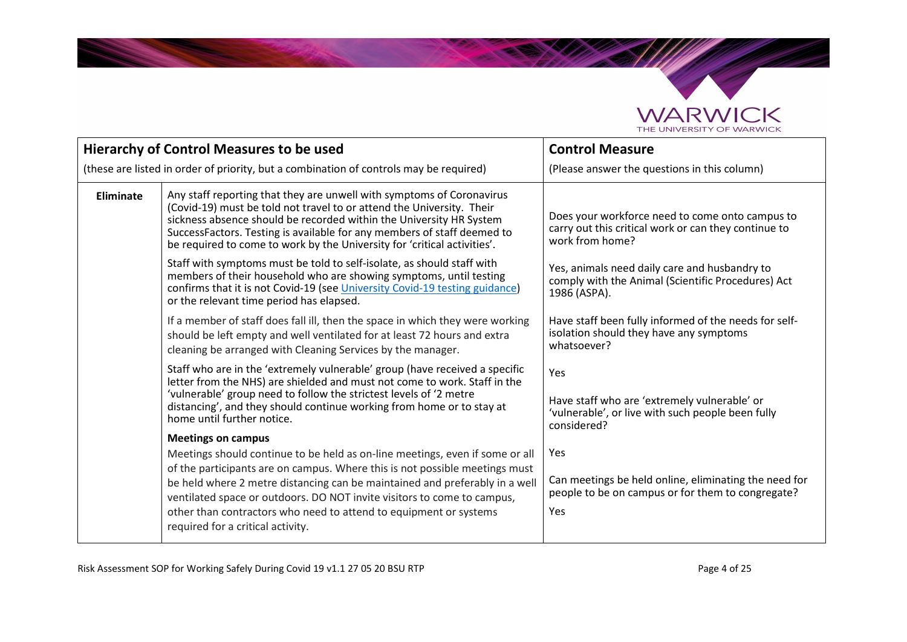

**SANDRO** 

|           | <b>Hierarchy of Control Measures to be used</b>                                                                                                                                                                                                                                                                                                                                                                                 | <b>Control Measure</b>                                                                                                     |
|-----------|---------------------------------------------------------------------------------------------------------------------------------------------------------------------------------------------------------------------------------------------------------------------------------------------------------------------------------------------------------------------------------------------------------------------------------|----------------------------------------------------------------------------------------------------------------------------|
|           | (these are listed in order of priority, but a combination of controls may be required)                                                                                                                                                                                                                                                                                                                                          | (Please answer the questions in this column)                                                                               |
| Eliminate | Any staff reporting that they are unwell with symptoms of Coronavirus<br>(Covid-19) must be told not travel to or attend the University. Their<br>sickness absence should be recorded within the University HR System<br>SuccessFactors. Testing is available for any members of staff deemed to<br>be required to come to work by the University for 'critical activities'.                                                    | Does your workforce need to come onto campus to<br>carry out this critical work or can they continue to<br>work from home? |
|           | Staff with symptoms must be told to self-isolate, as should staff with<br>members of their household who are showing symptoms, until testing<br>confirms that it is not Covid-19 (see University Covid-19 testing guidance)<br>or the relevant time period has elapsed.                                                                                                                                                         | Yes, animals need daily care and husbandry to<br>comply with the Animal (Scientific Procedures) Act<br>1986 (ASPA).        |
|           | If a member of staff does fall ill, then the space in which they were working<br>should be left empty and well ventilated for at least 72 hours and extra<br>cleaning be arranged with Cleaning Services by the manager.                                                                                                                                                                                                        | Have staff been fully informed of the needs for self-<br>isolation should they have any symptoms<br>whatsoever?            |
|           | Staff who are in the 'extremely vulnerable' group (have received a specific<br>letter from the NHS) are shielded and must not come to work. Staff in the<br>'vulnerable' group need to follow the strictest levels of '2 metre<br>distancing', and they should continue working from home or to stay at<br>home until further notice.                                                                                           | Yes<br>Have staff who are 'extremely vulnerable' or<br>'vulnerable', or live with such people been fully<br>considered?    |
|           | <b>Meetings on campus</b>                                                                                                                                                                                                                                                                                                                                                                                                       |                                                                                                                            |
|           | Meetings should continue to be held as on-line meetings, even if some or all<br>of the participants are on campus. Where this is not possible meetings must<br>be held where 2 metre distancing can be maintained and preferably in a well<br>ventilated space or outdoors. DO NOT invite visitors to come to campus,<br>other than contractors who need to attend to equipment or systems<br>required for a critical activity. | Yes<br>Can meetings be held online, eliminating the need for<br>people to be on campus or for them to congregate?<br>Yes   |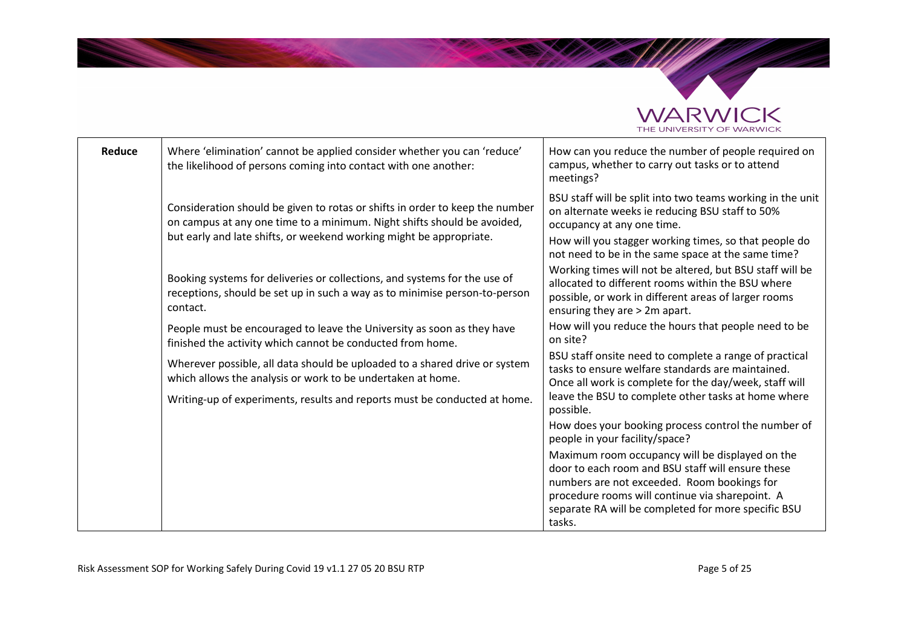

| Reduce                                                                                 | Where 'elimination' cannot be applied consider whether you can 'reduce'<br>the likelihood of persons coming into contact with one another:                          | How can you reduce the number of people required on<br>campus, whether to carry out tasks or to attend<br>meetings?                                                                                    |
|----------------------------------------------------------------------------------------|---------------------------------------------------------------------------------------------------------------------------------------------------------------------|--------------------------------------------------------------------------------------------------------------------------------------------------------------------------------------------------------|
|                                                                                        | Consideration should be given to rotas or shifts in order to keep the number<br>on campus at any one time to a minimum. Night shifts should be avoided,             | BSU staff will be split into two teams working in the unit<br>on alternate weeks ie reducing BSU staff to 50%<br>occupancy at any one time.                                                            |
|                                                                                        | but early and late shifts, or weekend working might be appropriate.                                                                                                 | How will you stagger working times, so that people do<br>not need to be in the same space at the same time?                                                                                            |
|                                                                                        | Booking systems for deliveries or collections, and systems for the use of<br>receptions, should be set up in such a way as to minimise person-to-person<br>contact. | Working times will not be altered, but BSU staff will be<br>allocated to different rooms within the BSU where<br>possible, or work in different areas of larger rooms<br>ensuring they are > 2m apart. |
|                                                                                        | People must be encouraged to leave the University as soon as they have<br>finished the activity which cannot be conducted from home.                                | How will you reduce the hours that people need to be<br>on site?                                                                                                                                       |
|                                                                                        | Wherever possible, all data should be uploaded to a shared drive or system<br>which allows the analysis or work to be undertaken at home.                           | BSU staff onsite need to complete a range of practical<br>tasks to ensure welfare standards are maintained.<br>Once all work is complete for the day/week, staff will                                  |
| Writing-up of experiments, results and reports must be conducted at home.<br>possible. | leave the BSU to complete other tasks at home where                                                                                                                 |                                                                                                                                                                                                        |
|                                                                                        |                                                                                                                                                                     | How does your booking process control the number of<br>people in your facility/space?                                                                                                                  |
|                                                                                        |                                                                                                                                                                     | Maximum room occupancy will be displayed on the<br>door to each room and BSU staff will ensure these<br>numbers are not exceeded. Room bookings for<br>procedure rooms will continue via sharepoint. A |
|                                                                                        |                                                                                                                                                                     | separate RA will be completed for more specific BSU<br>tasks.                                                                                                                                          |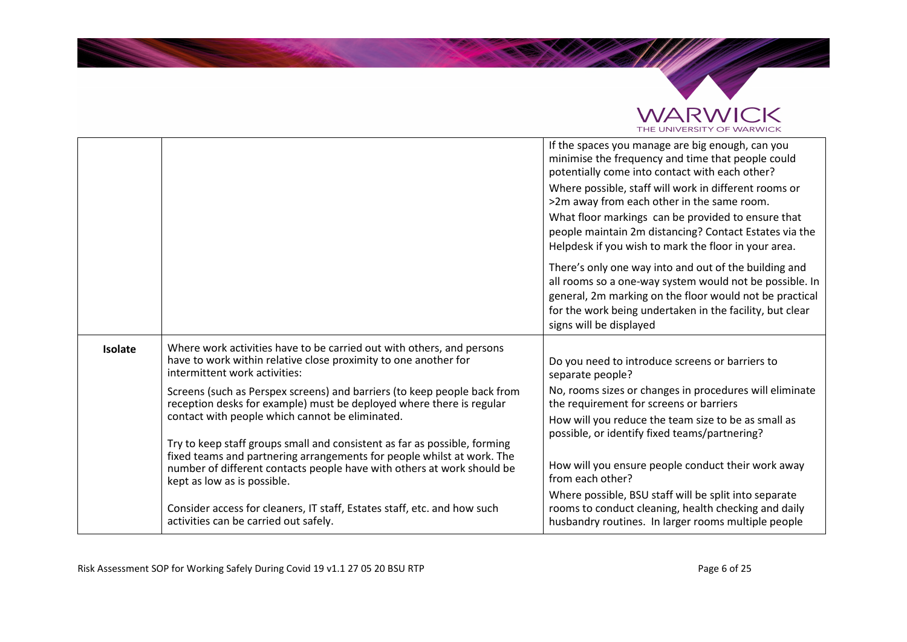

|         |                                                                                                                                                                                                                                                                                                                                                                                                                                                                                                                                                 | If the spaces you manage are big enough, can you<br>minimise the frequency and time that people could<br>potentially come into contact with each other?<br>Where possible, staff will work in different rooms or<br>>2m away from each other in the same room.<br>What floor markings can be provided to ensure that<br>people maintain 2m distancing? Contact Estates via the<br>Helpdesk if you wish to mark the floor in your area. |
|---------|-------------------------------------------------------------------------------------------------------------------------------------------------------------------------------------------------------------------------------------------------------------------------------------------------------------------------------------------------------------------------------------------------------------------------------------------------------------------------------------------------------------------------------------------------|----------------------------------------------------------------------------------------------------------------------------------------------------------------------------------------------------------------------------------------------------------------------------------------------------------------------------------------------------------------------------------------------------------------------------------------|
|         |                                                                                                                                                                                                                                                                                                                                                                                                                                                                                                                                                 | There's only one way into and out of the building and<br>all rooms so a one-way system would not be possible. In<br>general, 2m marking on the floor would not be practical<br>for the work being undertaken in the facility, but clear<br>signs will be displayed                                                                                                                                                                     |
| Isolate | Where work activities have to be carried out with others, and persons<br>have to work within relative close proximity to one another for<br>intermittent work activities:                                                                                                                                                                                                                                                                                                                                                                       | Do you need to introduce screens or barriers to<br>separate people?                                                                                                                                                                                                                                                                                                                                                                    |
|         | Screens (such as Perspex screens) and barriers (to keep people back from<br>reception desks for example) must be deployed where there is regular<br>contact with people which cannot be eliminated.<br>Try to keep staff groups small and consistent as far as possible, forming<br>fixed teams and partnering arrangements for people whilst at work. The<br>number of different contacts people have with others at work should be<br>kept as low as is possible.<br>Consider access for cleaners, IT staff, Estates staff, etc. and how such | No, rooms sizes or changes in procedures will eliminate<br>the requirement for screens or barriers<br>How will you reduce the team size to be as small as<br>possible, or identify fixed teams/partnering?<br>How will you ensure people conduct their work away<br>from each other?<br>Where possible, BSU staff will be split into separate<br>rooms to conduct cleaning, health checking and daily                                  |
|         | activities can be carried out safely.                                                                                                                                                                                                                                                                                                                                                                                                                                                                                                           | husbandry routines. In larger rooms multiple people                                                                                                                                                                                                                                                                                                                                                                                    |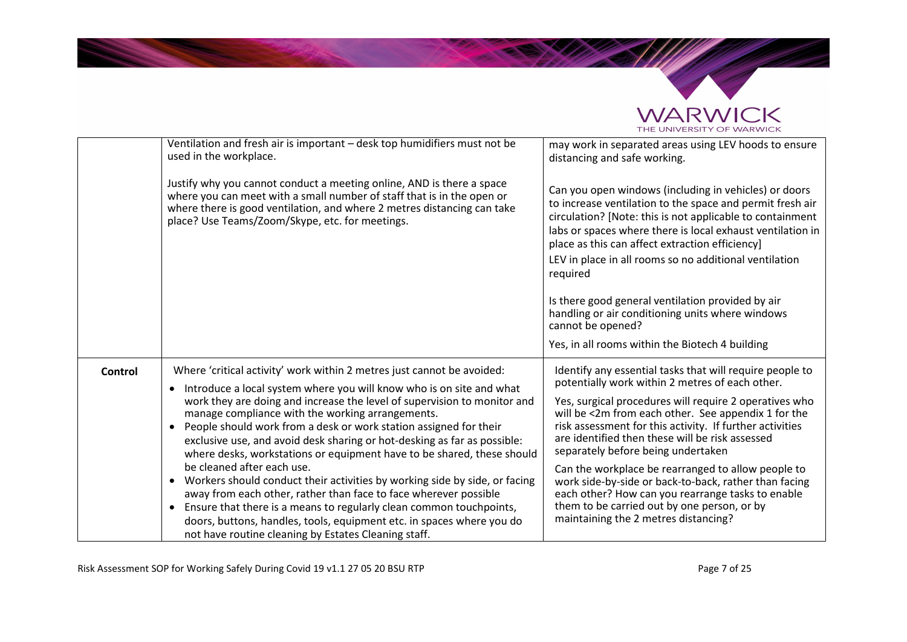

|         | Ventilation and fresh air is important - desk top humidifiers must not be<br>used in the workplace.                                                                                                                                                                                                                                                                                                                                                                                                                                                                                                                                                                                                                                                                                                                                                                                                                                      | may work in separated areas using LEV hoods to ensure<br>distancing and safe working.                                                                                                                                                                                                                                                                                                                                                                                                                                                                                                                                                        |
|---------|------------------------------------------------------------------------------------------------------------------------------------------------------------------------------------------------------------------------------------------------------------------------------------------------------------------------------------------------------------------------------------------------------------------------------------------------------------------------------------------------------------------------------------------------------------------------------------------------------------------------------------------------------------------------------------------------------------------------------------------------------------------------------------------------------------------------------------------------------------------------------------------------------------------------------------------|----------------------------------------------------------------------------------------------------------------------------------------------------------------------------------------------------------------------------------------------------------------------------------------------------------------------------------------------------------------------------------------------------------------------------------------------------------------------------------------------------------------------------------------------------------------------------------------------------------------------------------------------|
|         | Justify why you cannot conduct a meeting online, AND is there a space<br>where you can meet with a small number of staff that is in the open or<br>where there is good ventilation, and where 2 metres distancing can take<br>place? Use Teams/Zoom/Skype, etc. for meetings.                                                                                                                                                                                                                                                                                                                                                                                                                                                                                                                                                                                                                                                            | Can you open windows (including in vehicles) or doors<br>to increase ventilation to the space and permit fresh air<br>circulation? [Note: this is not applicable to containment<br>labs or spaces where there is local exhaust ventilation in<br>place as this can affect extraction efficiency]<br>LEV in place in all rooms so no additional ventilation<br>required<br>Is there good general ventilation provided by air<br>handling or air conditioning units where windows<br>cannot be opened?                                                                                                                                         |
|         |                                                                                                                                                                                                                                                                                                                                                                                                                                                                                                                                                                                                                                                                                                                                                                                                                                                                                                                                          | Yes, in all rooms within the Biotech 4 building                                                                                                                                                                                                                                                                                                                                                                                                                                                                                                                                                                                              |
| Control | Where 'critical activity' work within 2 metres just cannot be avoided:<br>Introduce a local system where you will know who is on site and what<br>work they are doing and increase the level of supervision to monitor and<br>manage compliance with the working arrangements.<br>People should work from a desk or work station assigned for their<br>$\bullet$<br>exclusive use, and avoid desk sharing or hot-desking as far as possible:<br>where desks, workstations or equipment have to be shared, these should<br>be cleaned after each use.<br>Workers should conduct their activities by working side by side, or facing<br>$\bullet$<br>away from each other, rather than face to face wherever possible<br>Ensure that there is a means to regularly clean common touchpoints,<br>$\bullet$<br>doors, buttons, handles, tools, equipment etc. in spaces where you do<br>not have routine cleaning by Estates Cleaning staff. | Identify any essential tasks that will require people to<br>potentially work within 2 metres of each other.<br>Yes, surgical procedures will require 2 operatives who<br>will be <2m from each other. See appendix 1 for the<br>risk assessment for this activity. If further activities<br>are identified then these will be risk assessed<br>separately before being undertaken<br>Can the workplace be rearranged to allow people to<br>work side-by-side or back-to-back, rather than facing<br>each other? How can you rearrange tasks to enable<br>them to be carried out by one person, or by<br>maintaining the 2 metres distancing? |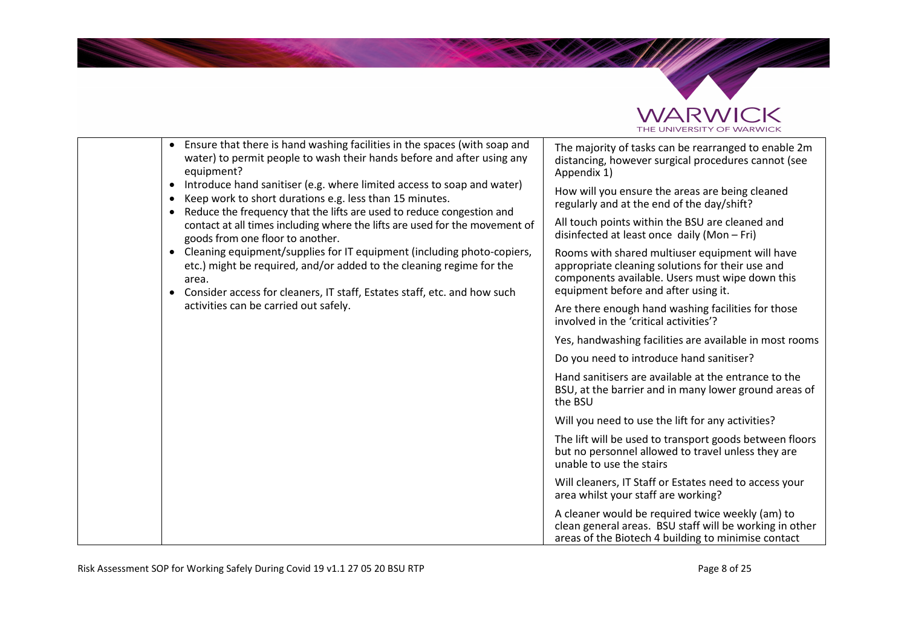

|                                                                                                                 | Ensure that there is hand washing facilities in the spaces (with soap and<br>$\bullet$<br>water) to permit people to wash their hands before and after using any<br>equipment?                                                                                                                         | The majority of tasks can be rearranged to enable 2m<br>distancing, however surgical procedures cannot (see<br>Appendix 1)                                                                     |
|-----------------------------------------------------------------------------------------------------------------|--------------------------------------------------------------------------------------------------------------------------------------------------------------------------------------------------------------------------------------------------------------------------------------------------------|------------------------------------------------------------------------------------------------------------------------------------------------------------------------------------------------|
|                                                                                                                 | Introduce hand sanitiser (e.g. where limited access to soap and water)<br>٠<br>Keep work to short durations e.g. less than 15 minutes.<br>٠<br>Reduce the frequency that the lifts are used to reduce congestion and<br>$\bullet$                                                                      | How will you ensure the areas are being cleaned<br>regularly and at the end of the day/shift?                                                                                                  |
| contact at all times including where the lifts are used for the movement of<br>goods from one floor to another. | All touch points within the BSU are cleaned and<br>disinfected at least once daily (Mon - Fri)                                                                                                                                                                                                         |                                                                                                                                                                                                |
|                                                                                                                 | Cleaning equipment/supplies for IT equipment (including photo-copiers,<br>$\bullet$<br>etc.) might be required, and/or added to the cleaning regime for the<br>area.<br>Consider access for cleaners, IT staff, Estates staff, etc. and how such<br>$\bullet$<br>activities can be carried out safely. | Rooms with shared multiuser equipment will have<br>appropriate cleaning solutions for their use and<br>components available. Users must wipe down this<br>equipment before and after using it. |
|                                                                                                                 |                                                                                                                                                                                                                                                                                                        | Are there enough hand washing facilities for those<br>involved in the 'critical activities'?                                                                                                   |
|                                                                                                                 |                                                                                                                                                                                                                                                                                                        | Yes, handwashing facilities are available in most rooms                                                                                                                                        |
|                                                                                                                 |                                                                                                                                                                                                                                                                                                        | Do you need to introduce hand sanitiser?                                                                                                                                                       |
|                                                                                                                 |                                                                                                                                                                                                                                                                                                        | Hand sanitisers are available at the entrance to the<br>BSU, at the barrier and in many lower ground areas of<br>the BSU                                                                       |
|                                                                                                                 |                                                                                                                                                                                                                                                                                                        | Will you need to use the lift for any activities?                                                                                                                                              |
|                                                                                                                 |                                                                                                                                                                                                                                                                                                        | The lift will be used to transport goods between floors<br>but no personnel allowed to travel unless they are<br>unable to use the stairs                                                      |
|                                                                                                                 |                                                                                                                                                                                                                                                                                                        | Will cleaners, IT Staff or Estates need to access your<br>area whilst your staff are working?                                                                                                  |
|                                                                                                                 |                                                                                                                                                                                                                                                                                                        | A cleaner would be required twice weekly (am) to<br>clean general areas. BSU staff will be working in other<br>areas of the Biotech 4 building to minimise contact                             |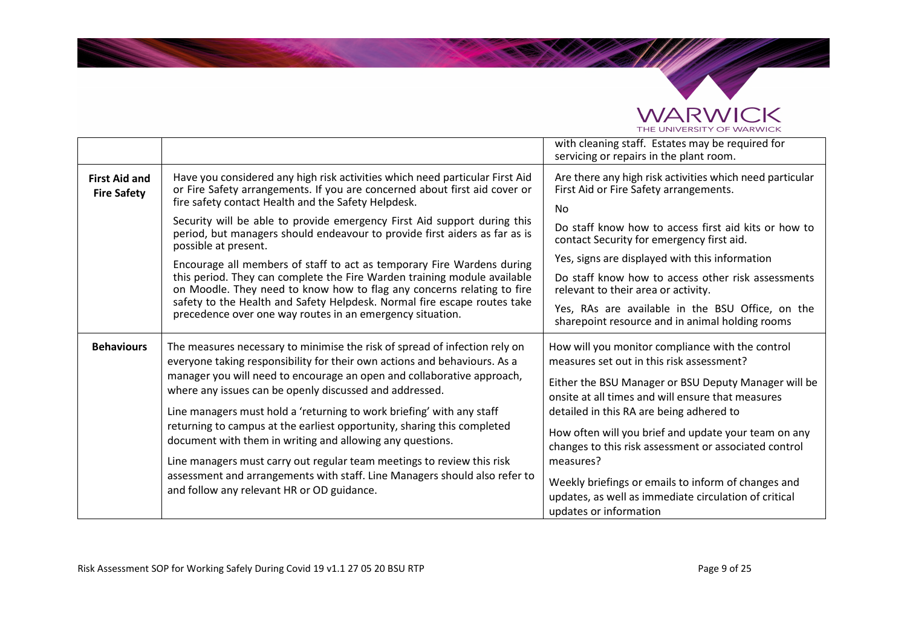

Salah di Kabupatén

|                                            |                                                                                                                                                                                                                                                                                              | with cleaning staff. Estates may be required for<br>servicing or repairs in the plant room.                                                                                                                |
|--------------------------------------------|----------------------------------------------------------------------------------------------------------------------------------------------------------------------------------------------------------------------------------------------------------------------------------------------|------------------------------------------------------------------------------------------------------------------------------------------------------------------------------------------------------------|
| <b>First Aid and</b><br><b>Fire Safety</b> | Have you considered any high risk activities which need particular First Aid<br>or Fire Safety arrangements. If you are concerned about first aid cover or<br>fire safety contact Health and the Safety Helpdesk.                                                                            | Are there any high risk activities which need particular<br>First Aid or Fire Safety arrangements.<br><b>No</b>                                                                                            |
|                                            | Security will be able to provide emergency First Aid support during this<br>period, but managers should endeavour to provide first aiders as far as is<br>possible at present.                                                                                                               | Do staff know how to access first aid kits or how to<br>contact Security for emergency first aid.                                                                                                          |
|                                            | Encourage all members of staff to act as temporary Fire Wardens during                                                                                                                                                                                                                       | Yes, signs are displayed with this information                                                                                                                                                             |
|                                            | this period. They can complete the Fire Warden training module available<br>on Moodle. They need to know how to flag any concerns relating to fire                                                                                                                                           | Do staff know how to access other risk assessments<br>relevant to their area or activity.                                                                                                                  |
|                                            | safety to the Health and Safety Helpdesk. Normal fire escape routes take<br>precedence over one way routes in an emergency situation.                                                                                                                                                        | Yes, RAs are available in the BSU Office, on the<br>sharepoint resource and in animal holding rooms                                                                                                        |
| <b>Behaviours</b>                          | The measures necessary to minimise the risk of spread of infection rely on<br>everyone taking responsibility for their own actions and behaviours. As a<br>manager you will need to encourage an open and collaborative approach,<br>where any issues can be openly discussed and addressed. | How will you monitor compliance with the control<br>measures set out in this risk assessment?<br>Either the BSU Manager or BSU Deputy Manager will be<br>onsite at all times and will ensure that measures |
|                                            | Line managers must hold a 'returning to work briefing' with any staff                                                                                                                                                                                                                        | detailed in this RA are being adhered to                                                                                                                                                                   |
|                                            | returning to campus at the earliest opportunity, sharing this completed<br>document with them in writing and allowing any questions.<br>Line managers must carry out regular team meetings to review this risk                                                                               | How often will you brief and update your team on any<br>changes to this risk assessment or associated control<br>measures?                                                                                 |
|                                            | assessment and arrangements with staff. Line Managers should also refer to<br>and follow any relevant HR or OD guidance.                                                                                                                                                                     | Weekly briefings or emails to inform of changes and<br>updates, as well as immediate circulation of critical<br>updates or information                                                                     |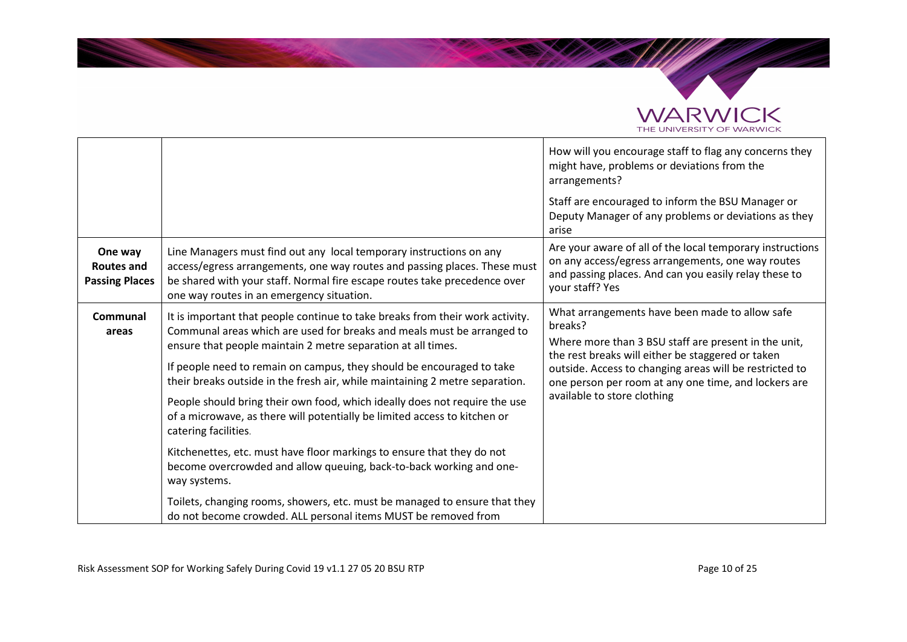

**REGISTER** 

|                                                       |                                                                                                                                                                                                                                                                                                                                                                                                                                                                                                                                                                                                                                                                                                                                      | How will you encourage staff to flag any concerns they<br>might have, problems or deviations from the<br>arrangements?                                                                                                                                                                                                   |
|-------------------------------------------------------|--------------------------------------------------------------------------------------------------------------------------------------------------------------------------------------------------------------------------------------------------------------------------------------------------------------------------------------------------------------------------------------------------------------------------------------------------------------------------------------------------------------------------------------------------------------------------------------------------------------------------------------------------------------------------------------------------------------------------------------|--------------------------------------------------------------------------------------------------------------------------------------------------------------------------------------------------------------------------------------------------------------------------------------------------------------------------|
|                                                       |                                                                                                                                                                                                                                                                                                                                                                                                                                                                                                                                                                                                                                                                                                                                      | Staff are encouraged to inform the BSU Manager or<br>Deputy Manager of any problems or deviations as they<br>arise                                                                                                                                                                                                       |
| One way<br><b>Routes and</b><br><b>Passing Places</b> | Line Managers must find out any local temporary instructions on any<br>access/egress arrangements, one way routes and passing places. These must<br>be shared with your staff. Normal fire escape routes take precedence over<br>one way routes in an emergency situation.                                                                                                                                                                                                                                                                                                                                                                                                                                                           | Are your aware of all of the local temporary instructions<br>on any access/egress arrangements, one way routes<br>and passing places. And can you easily relay these to<br>your staff? Yes                                                                                                                               |
| <b>Communal</b><br>areas                              | It is important that people continue to take breaks from their work activity.<br>Communal areas which are used for breaks and meals must be arranged to<br>ensure that people maintain 2 metre separation at all times.<br>If people need to remain on campus, they should be encouraged to take<br>their breaks outside in the fresh air, while maintaining 2 metre separation.<br>People should bring their own food, which ideally does not require the use<br>of a microwave, as there will potentially be limited access to kitchen or<br>catering facilities.<br>Kitchenettes, etc. must have floor markings to ensure that they do not<br>become overcrowded and allow queuing, back-to-back working and one-<br>way systems. | What arrangements have been made to allow safe<br>breaks?<br>Where more than 3 BSU staff are present in the unit,<br>the rest breaks will either be staggered or taken<br>outside. Access to changing areas will be restricted to<br>one person per room at any one time, and lockers are<br>available to store clothing |
|                                                       | Toilets, changing rooms, showers, etc. must be managed to ensure that they<br>do not become crowded. ALL personal items MUST be removed from                                                                                                                                                                                                                                                                                                                                                                                                                                                                                                                                                                                         |                                                                                                                                                                                                                                                                                                                          |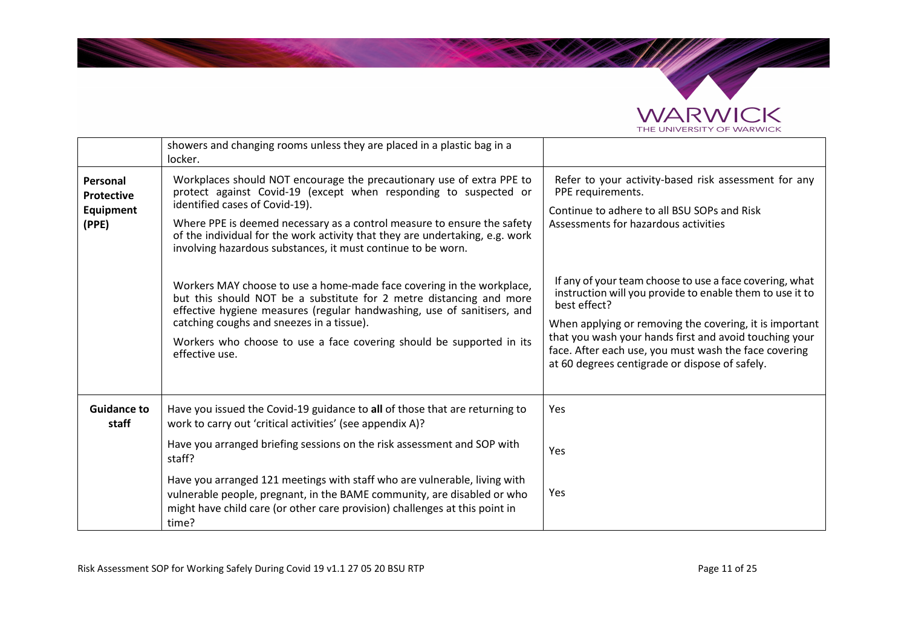



|                                                     | showers and changing rooms unless they are placed in a plastic bag in a<br>locker.                                                                                                                                                                                                                                                                                                                                                                                                                                                                                                                                                                                                                                                                                       |                                                                                                                                                                                                                                                                                                                                                                                                                                                                                       |
|-----------------------------------------------------|--------------------------------------------------------------------------------------------------------------------------------------------------------------------------------------------------------------------------------------------------------------------------------------------------------------------------------------------------------------------------------------------------------------------------------------------------------------------------------------------------------------------------------------------------------------------------------------------------------------------------------------------------------------------------------------------------------------------------------------------------------------------------|---------------------------------------------------------------------------------------------------------------------------------------------------------------------------------------------------------------------------------------------------------------------------------------------------------------------------------------------------------------------------------------------------------------------------------------------------------------------------------------|
| Personal<br><b>Protective</b><br>Equipment<br>(PPE) | Workplaces should NOT encourage the precautionary use of extra PPE to<br>protect against Covid-19 (except when responding to suspected or<br>identified cases of Covid-19).<br>Where PPE is deemed necessary as a control measure to ensure the safety<br>of the individual for the work activity that they are undertaking, e.g. work<br>involving hazardous substances, it must continue to be worn.<br>Workers MAY choose to use a home-made face covering in the workplace,<br>but this should NOT be a substitute for 2 metre distancing and more<br>effective hygiene measures (regular handwashing, use of sanitisers, and<br>catching coughs and sneezes in a tissue).<br>Workers who choose to use a face covering should be supported in its<br>effective use. | Refer to your activity-based risk assessment for any<br>PPE requirements.<br>Continue to adhere to all BSU SOPs and Risk<br>Assessments for hazardous activities<br>If any of your team choose to use a face covering, what<br>instruction will you provide to enable them to use it to<br>best effect?<br>When applying or removing the covering, it is important<br>that you wash your hands first and avoid touching your<br>face. After each use, you must wash the face covering |
|                                                     |                                                                                                                                                                                                                                                                                                                                                                                                                                                                                                                                                                                                                                                                                                                                                                          | at 60 degrees centigrade or dispose of safely.                                                                                                                                                                                                                                                                                                                                                                                                                                        |
| <b>Guidance to</b><br>staff                         | Have you issued the Covid-19 guidance to all of those that are returning to<br>work to carry out 'critical activities' (see appendix A)?                                                                                                                                                                                                                                                                                                                                                                                                                                                                                                                                                                                                                                 | Yes                                                                                                                                                                                                                                                                                                                                                                                                                                                                                   |
|                                                     | Have you arranged briefing sessions on the risk assessment and SOP with<br>staff?                                                                                                                                                                                                                                                                                                                                                                                                                                                                                                                                                                                                                                                                                        | Yes                                                                                                                                                                                                                                                                                                                                                                                                                                                                                   |
|                                                     | Have you arranged 121 meetings with staff who are vulnerable, living with<br>vulnerable people, pregnant, in the BAME community, are disabled or who<br>might have child care (or other care provision) challenges at this point in<br>time?                                                                                                                                                                                                                                                                                                                                                                                                                                                                                                                             | Yes                                                                                                                                                                                                                                                                                                                                                                                                                                                                                   |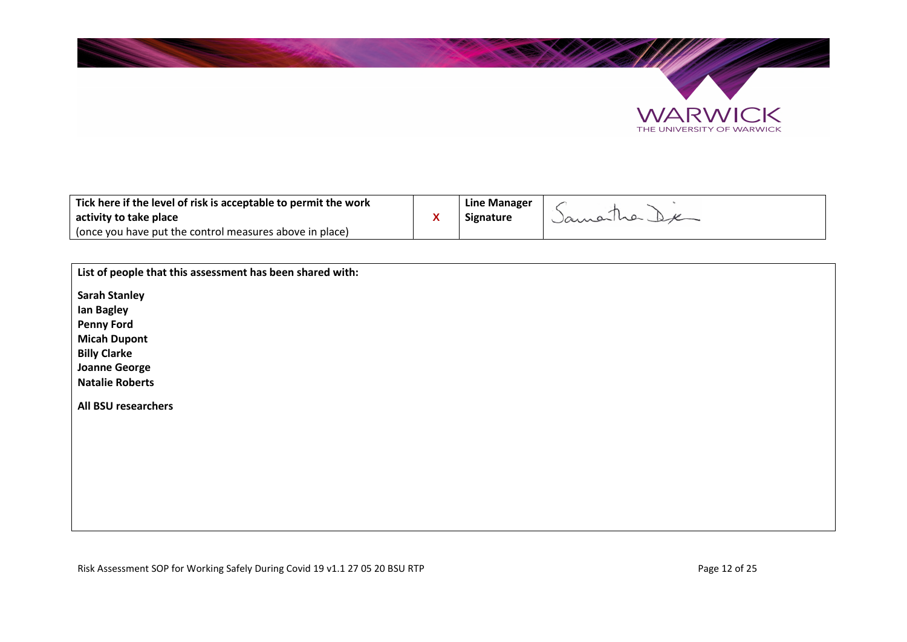



| Tick here if the level of risk is acceptable to permit the work | Line Manager     |           |
|-----------------------------------------------------------------|------------------|-----------|
| activity to take place                                          | <b>Signature</b> | Jamariner |
| (once you have put the control measures above in place)         |                  |           |

| List of people that this assessment has been shared with: |
|-----------------------------------------------------------|
| <b>Sarah Stanley</b>                                      |
| Ian Bagley                                                |
| <b>Penny Ford</b>                                         |
| <b>Micah Dupont</b>                                       |
| <b>Billy Clarke</b>                                       |
| <b>Joanne George</b>                                      |
| <b>Natalie Roberts</b>                                    |
| <b>All BSU researchers</b>                                |
|                                                           |
|                                                           |
|                                                           |
|                                                           |
|                                                           |
|                                                           |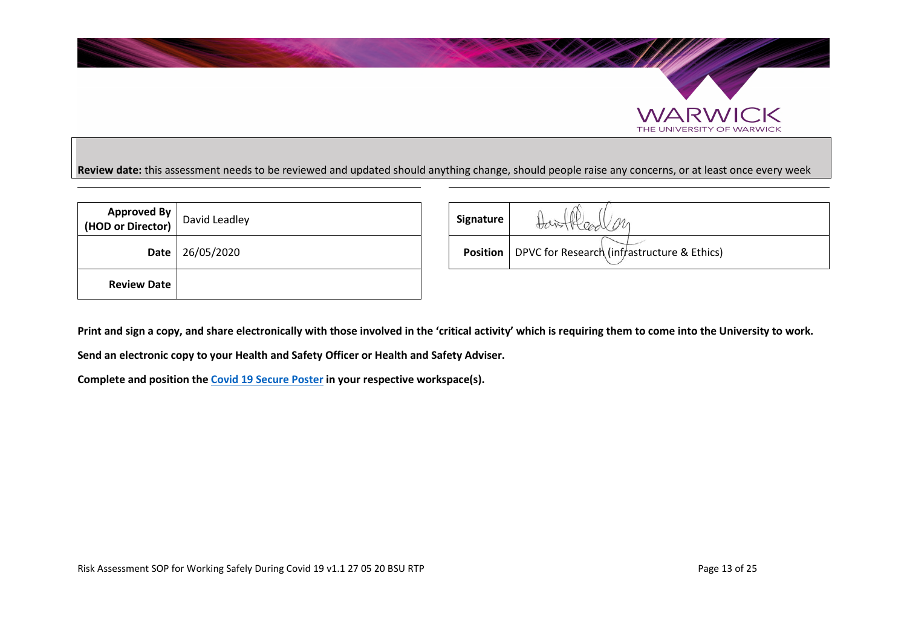

# **Review date:** this assessment needs to be reviewed and updated should anything change, should people raise any concerns, or at least once every week

| <b>Approved By</b><br>(HOD or Director) | David Leadley | Signature       |
|-----------------------------------------|---------------|-----------------|
| Date                                    | 26/05/2020    | <b>Position</b> |
| <b>Review Date</b>                      |               |                 |

| d By<br>ctor) $\vert$ | David Leadley          | Signature | Hear on<br>Hawith                                             |
|-----------------------|------------------------|-----------|---------------------------------------------------------------|
|                       | <b>Date</b> 26/05/2020 |           | <b>Position</b>   DPVC for Research (infrastructure & Ethics) |

**Print and sign a copy, and share electronically with those involved in the 'critical activity' which is requiring them to come into the University to work.** 

**Send an electronic copy to your Health and Safety Officer or Health and Safety Adviser.** 

**Complete and position the Covid 19 Secure Poster in your respective workspace(s).** 

 $\mathbb{R}$ 

THE UNIVERSITY OF WARWICK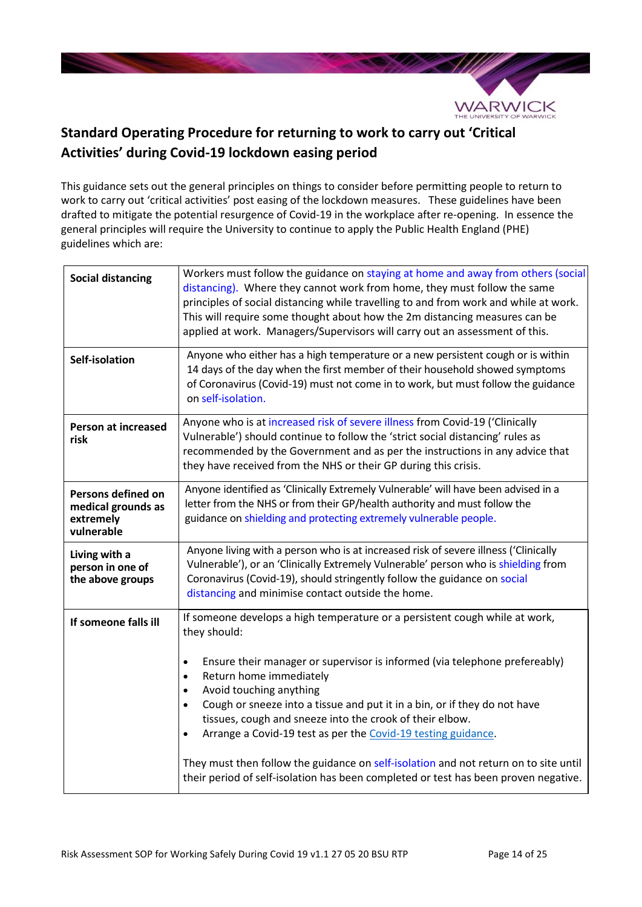

# **Standard Operating Procedure for returning to work to carry out 'Critical Activities' during Covid-19 lockdown easing period**

This guidance sets out the general principles on things to consider before permitting people to return to work to carry out 'critical activities' post easing of the lockdown measures. These guidelines have been drafted to mitigate the potential resurgence of Covid-19 in the workplace after re-opening. In essence the general principles will require the University to continue to apply the Public Health England (PHE) guidelines which are:

| <b>Social distancing</b>                                            | Workers must follow the guidance on staying at home and away from others (social<br>distancing). Where they cannot work from home, they must follow the same<br>principles of social distancing while travelling to and from work and while at work.<br>This will require some thought about how the 2m distancing measures can be<br>applied at work. Managers/Supervisors will carry out an assessment of this.                                                                                                                                                                                                                                                                         |
|---------------------------------------------------------------------|-------------------------------------------------------------------------------------------------------------------------------------------------------------------------------------------------------------------------------------------------------------------------------------------------------------------------------------------------------------------------------------------------------------------------------------------------------------------------------------------------------------------------------------------------------------------------------------------------------------------------------------------------------------------------------------------|
| Self-isolation                                                      | Anyone who either has a high temperature or a new persistent cough or is within<br>14 days of the day when the first member of their household showed symptoms<br>of Coronavirus (Covid-19) must not come in to work, but must follow the guidance<br>on self-isolation.                                                                                                                                                                                                                                                                                                                                                                                                                  |
| <b>Person at increased</b><br>risk                                  | Anyone who is at increased risk of severe illness from Covid-19 ('Clinically<br>Vulnerable') should continue to follow the 'strict social distancing' rules as<br>recommended by the Government and as per the instructions in any advice that<br>they have received from the NHS or their GP during this crisis.                                                                                                                                                                                                                                                                                                                                                                         |
| Persons defined on<br>medical grounds as<br>extremely<br>vulnerable | Anyone identified as 'Clinically Extremely Vulnerable' will have been advised in a<br>letter from the NHS or from their GP/health authority and must follow the<br>guidance on shielding and protecting extremely vulnerable people.                                                                                                                                                                                                                                                                                                                                                                                                                                                      |
| Living with a<br>person in one of<br>the above groups               | Anyone living with a person who is at increased risk of severe illness ('Clinically<br>Vulnerable'), or an 'Clinically Extremely Vulnerable' person who is shielding from<br>Coronavirus (Covid-19), should stringently follow the guidance on social<br>distancing and minimise contact outside the home.                                                                                                                                                                                                                                                                                                                                                                                |
| If someone falls ill                                                | If someone develops a high temperature or a persistent cough while at work,<br>they should:<br>Ensure their manager or supervisor is informed (via telephone prefereably)<br>$\bullet$<br>Return home immediately<br>$\bullet$<br>Avoid touching anything<br>$\bullet$<br>Cough or sneeze into a tissue and put it in a bin, or if they do not have<br>$\bullet$<br>tissues, cough and sneeze into the crook of their elbow.<br>Arrange a Covid-19 test as per the Covid-19 testing guidance.<br>$\bullet$<br>They must then follow the guidance on self-isolation and not return on to site until<br>their period of self-isolation has been completed or test has been proven negative. |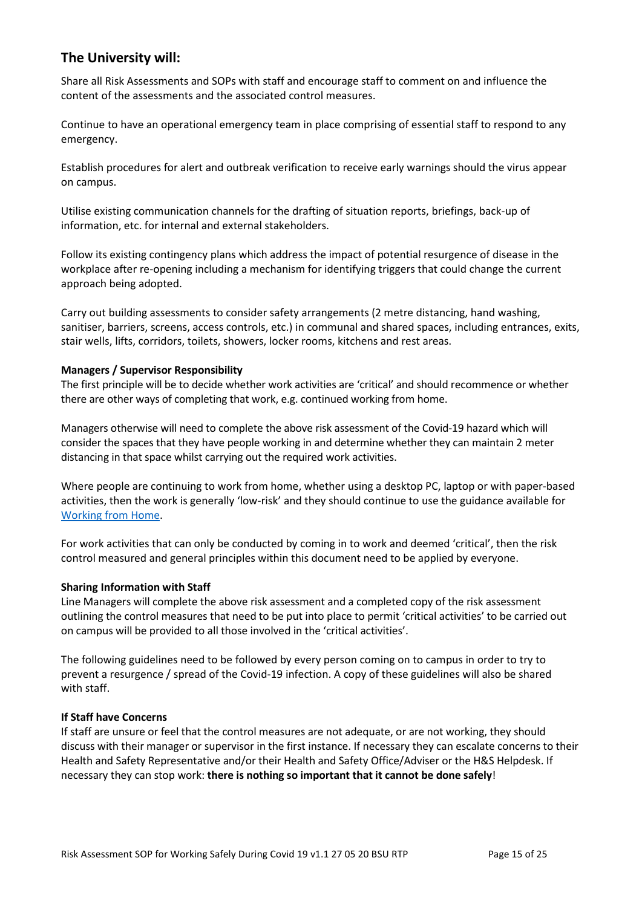# **The University will:**

Share all Risk Assessments and SOPs with staff and encourage staff to comment on and influence the content of the assessments and the associated control measures.

Continue to have an operational emergency team in place comprising of essential staff to respond to any emergency.

Establish procedures for alert and outbreak verification to receive early warnings should the virus appear on campus.

Utilise existing communication channels for the drafting of situation reports, briefings, back-up of information, etc. for internal and external stakeholders.

Follow its existing contingency plans which address the impact of potential resurgence of disease in the workplace after re-opening including a mechanism for identifying triggers that could change the current approach being adopted.

Carry out building assessments to consider safety arrangements (2 metre distancing, hand washing, sanitiser, barriers, screens, access controls, etc.) in communal and shared spaces, including entrances, exits, stair wells, lifts, corridors, toilets, showers, locker rooms, kitchens and rest areas.

#### **Managers / Supervisor Responsibility**

The first principle will be to decide whether work activities are 'critical' and should recommence or whether there are other ways of completing that work, e.g. continued working from home.

Managers otherwise will need to complete the above risk assessment of the Covid-19 hazard which will consider the spaces that they have people working in and determine whether they can maintain 2 meter distancing in that space whilst carrying out the required work activities.

Where people are continuing to work from home, whether using a desktop PC, laptop or with paper-based activities, then the work is generally 'low-risk' and they should continue to use the guidance available for Working from Home.

For work activities that can only be conducted by coming in to work and deemed 'critical', then the risk control measured and general principles within this document need to be applied by everyone.

#### **Sharing Information with Staff**

Line Managers will complete the above risk assessment and a completed copy of the risk assessment outlining the control measures that need to be put into place to permit 'critical activities' to be carried out on campus will be provided to all those involved in the 'critical activities'.

The following guidelines need to be followed by every person coming on to campus in order to try to prevent a resurgence / spread of the Covid-19 infection. A copy of these guidelines will also be shared with staff.

#### **If Staff have Concerns**

If staff are unsure or feel that the control measures are not adequate, or are not working, they should discuss with their manager or supervisor in the first instance. If necessary they can escalate concerns to their Health and Safety Representative and/or their Health and Safety Office/Adviser or the H&S Helpdesk. If necessary they can stop work: **there is nothing so important that it cannot be done safely**!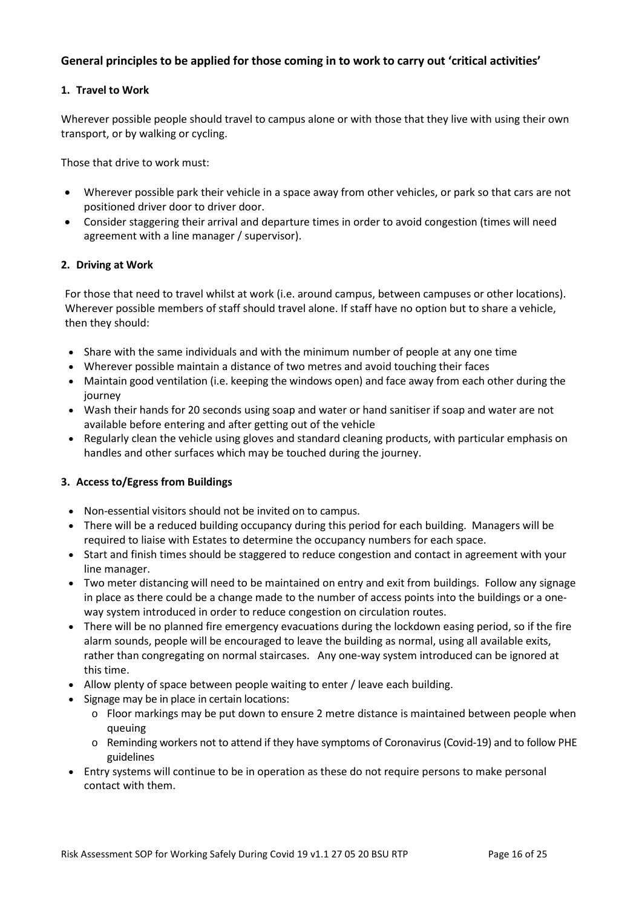# **General principles to be applied for those coming in to work to carry out 'critical activities'**

#### **1. Travel to Work**

Wherever possible people should travel to campus alone or with those that they live with using their own transport, or by walking or cycling.

Those that drive to work must:

- Wherever possible park their vehicle in a space away from other vehicles, or park so that cars are not positioned driver door to driver door.
- Consider staggering their arrival and departure times in order to avoid congestion (times will need agreement with a line manager / supervisor).

#### **2. Driving at Work**

For those that need to travel whilst at work (i.e. around campus, between campuses or other locations). Wherever possible members of staff should travel alone. If staff have no option but to share a vehicle, then they should:

- Share with the same individuals and with the minimum number of people at any one time
- Wherever possible maintain a distance of two metres and avoid touching their faces
- Maintain good ventilation (i.e. keeping the windows open) and face away from each other during the journey
- Wash their hands for 20 seconds using soap and water or hand sanitiser if soap and water are not available before entering and after getting out of the vehicle
- Regularly clean the vehicle using gloves and standard cleaning products, with particular emphasis on handles and other surfaces which may be touched during the journey.

#### **3. Access to/Egress from Buildings**

- Non-essential visitors should not be invited on to campus.
- There will be a reduced building occupancy during this period for each building. Managers will be required to liaise with Estates to determine the occupancy numbers for each space.
- Start and finish times should be staggered to reduce congestion and contact in agreement with your line manager.
- Two meter distancing will need to be maintained on entry and exit from buildings. Follow any signage in place as there could be a change made to the number of access points into the buildings or a oneway system introduced in order to reduce congestion on circulation routes.
- There will be no planned fire emergency evacuations during the lockdown easing period, so if the fire alarm sounds, people will be encouraged to leave the building as normal, using all available exits, rather than congregating on normal staircases. Any one-way system introduced can be ignored at this time.
- Allow plenty of space between people waiting to enter / leave each building.
- Signage may be in place in certain locations:
	- $\circ$  Floor markings may be put down to ensure 2 metre distance is maintained between people when queuing
	- o Reminding workers not to attend if they have symptoms of Coronavirus (Covid-19) and to follow PHE guidelines
- Entry systems will continue to be in operation as these do not require persons to make personal contact with them.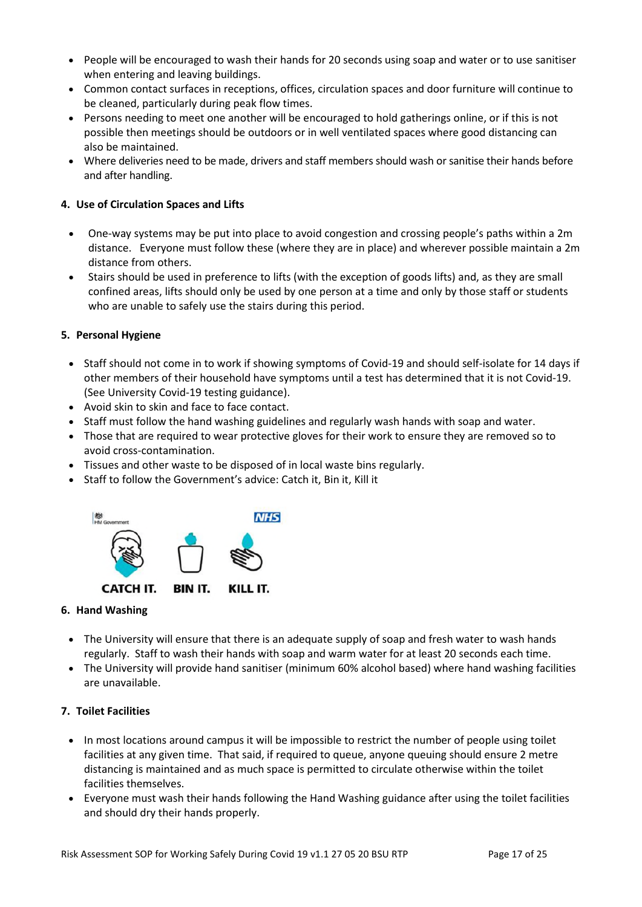- People will be encouraged to wash their hands for 20 seconds using soap and water or to use sanitiser when entering and leaving buildings.
- Common contact surfaces in receptions, offices, circulation spaces and door furniture will continue to be cleaned, particularly during peak flow times.
- Persons needing to meet one another will be encouraged to hold gatherings online, or if this is not possible then meetings should be outdoors or in well ventilated spaces where good distancing can also be maintained.
- Where deliveries need to be made, drivers and staff members should wash or sanitise their hands before and after handling.

### **4. Use of Circulation Spaces and Lifts**

- One-way systems may be put into place to avoid congestion and crossing people's paths within a 2m distance. Everyone must follow these (where they are in place) and wherever possible maintain a 2m distance from others.
- Stairs should be used in preference to lifts (with the exception of goods lifts) and, as they are small confined areas, lifts should only be used by one person at a time and only by those staff or students who are unable to safely use the stairs during this period.

#### **5. Personal Hygiene**

- Staff should not come in to work if showing symptoms of Covid-19 and should self-isolate for 14 days if other members of their household have symptoms until a test has determined that it is not Covid-19. (See University Covid-19 testing guidance).
- Avoid skin to skin and face to face contact.
- Staff must follow the hand washing guidelines and regularly wash hands with soap and water.
- Those that are required to wear protective gloves for their work to ensure they are removed so to avoid cross-contamination.
- Tissues and other waste to be disposed of in local waste bins regularly.
- Staff to follow the Government's advice: Catch it, Bin it, Kill it



#### **6. Hand Washing**

- The University will ensure that there is an adequate supply of soap and fresh water to wash hands regularly. Staff to wash their hands with soap and warm water for at least 20 seconds each time.
- The University will provide hand sanitiser (minimum 60% alcohol based) where hand washing facilities are unavailable.

#### **7. Toilet Facilities**

- In most locations around campus it will be impossible to restrict the number of people using toilet facilities at any given time. That said, if required to queue, anyone queuing should ensure 2 metre distancing is maintained and as much space is permitted to circulate otherwise within the toilet facilities themselves.
- Everyone must wash their hands following the Hand Washing guidance after using the toilet facilities and should dry their hands properly.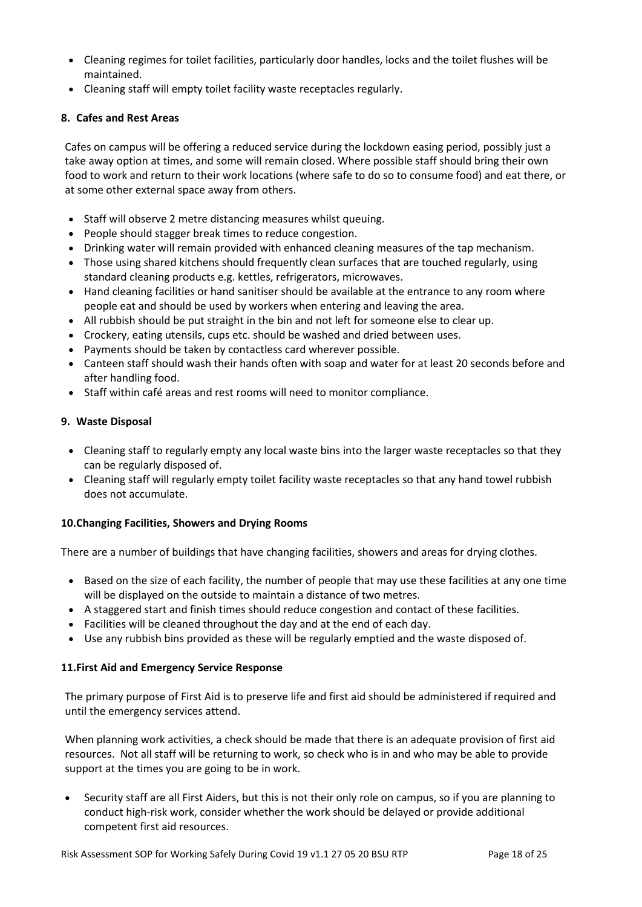- Cleaning regimes for toilet facilities, particularly door handles, locks and the toilet flushes will be maintained.
- Cleaning staff will empty toilet facility waste receptacles regularly.

## **8. Cafes and Rest Areas**

Cafes on campus will be offering a reduced service during the lockdown easing period, possibly just a take away option at times, and some will remain closed. Where possible staff should bring their own food to work and return to their work locations (where safe to do so to consume food) and eat there, or at some other external space away from others.

- Staff will observe 2 metre distancing measures whilst queuing.
- People should stagger break times to reduce congestion.
- Drinking water will remain provided with enhanced cleaning measures of the tap mechanism.
- Those using shared kitchens should frequently clean surfaces that are touched regularly, using standard cleaning products e.g. kettles, refrigerators, microwaves.
- Hand cleaning facilities or hand sanitiser should be available at the entrance to any room where people eat and should be used by workers when entering and leaving the area.
- All rubbish should be put straight in the bin and not left for someone else to clear up.
- Crockery, eating utensils, cups etc. should be washed and dried between uses.
- Payments should be taken by contactless card wherever possible.
- Canteen staff should wash their hands often with soap and water for at least 20 seconds before and after handling food.
- Staff within café areas and rest rooms will need to monitor compliance.

#### **9. Waste Disposal**

- Cleaning staff to regularly empty any local waste bins into the larger waste receptacles so that they can be regularly disposed of.
- Cleaning staff will regularly empty toilet facility waste receptacles so that any hand towel rubbish does not accumulate.

## **10.Changing Facilities, Showers and Drying Rooms**

There are a number of buildings that have changing facilities, showers and areas for drying clothes.

- Based on the size of each facility, the number of people that may use these facilities at any one time will be displayed on the outside to maintain a distance of two metres.
- A staggered start and finish times should reduce congestion and contact of these facilities.
- Facilities will be cleaned throughout the day and at the end of each day.
- Use any rubbish bins provided as these will be regularly emptied and the waste disposed of.

#### **11.First Aid and Emergency Service Response**

The primary purpose of First Aid is to preserve life and first aid should be administered if required and until the emergency services attend.

When planning work activities, a check should be made that there is an adequate provision of first aid resources. Not all staff will be returning to work, so check who is in and who may be able to provide support at the times you are going to be in work.

 Security staff are all First Aiders, but this is not their only role on campus, so if you are planning to conduct high-risk work, consider whether the work should be delayed or provide additional competent first aid resources.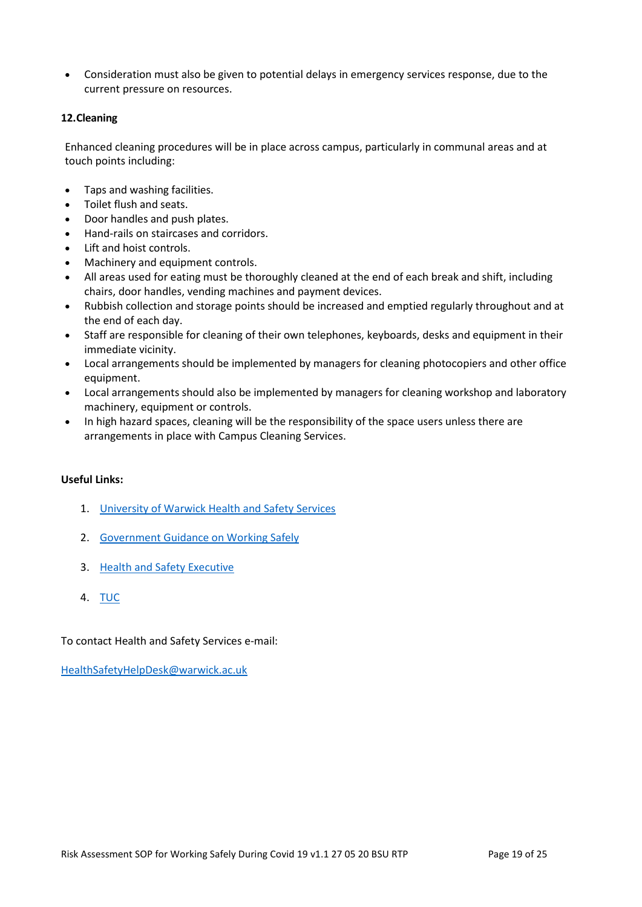Consideration must also be given to potential delays in emergency services response, due to the current pressure on resources.

#### **12.Cleaning**

Enhanced cleaning procedures will be in place across campus, particularly in communal areas and at touch points including:

- Taps and washing facilities.
- Toilet flush and seats.
- Door handles and push plates.
- Hand-rails on staircases and corridors.
- Lift and hoist controls.
- Machinery and equipment controls.
- All areas used for eating must be thoroughly cleaned at the end of each break and shift, including chairs, door handles, vending machines and payment devices.
- Rubbish collection and storage points should be increased and emptied regularly throughout and at the end of each day.
- Staff are responsible for cleaning of their own telephones, keyboards, desks and equipment in their immediate vicinity.
- Local arrangements should be implemented by managers for cleaning photocopiers and other office equipment.
- Local arrangements should also be implemented by managers for cleaning workshop and laboratory machinery, equipment or controls.
- In high hazard spaces, cleaning will be the responsibility of the space users unless there are arrangements in place with Campus Cleaning Services.

#### **Useful Links:**

- 1. University of Warwick Health and Safety Services
- 2. Government Guidance on Working Safely
- 3. Health and Safety Executive
- 4. TUC

To contact Health and Safety Services e-mail:

HealthSafetyHelpDesk@warwick.ac.uk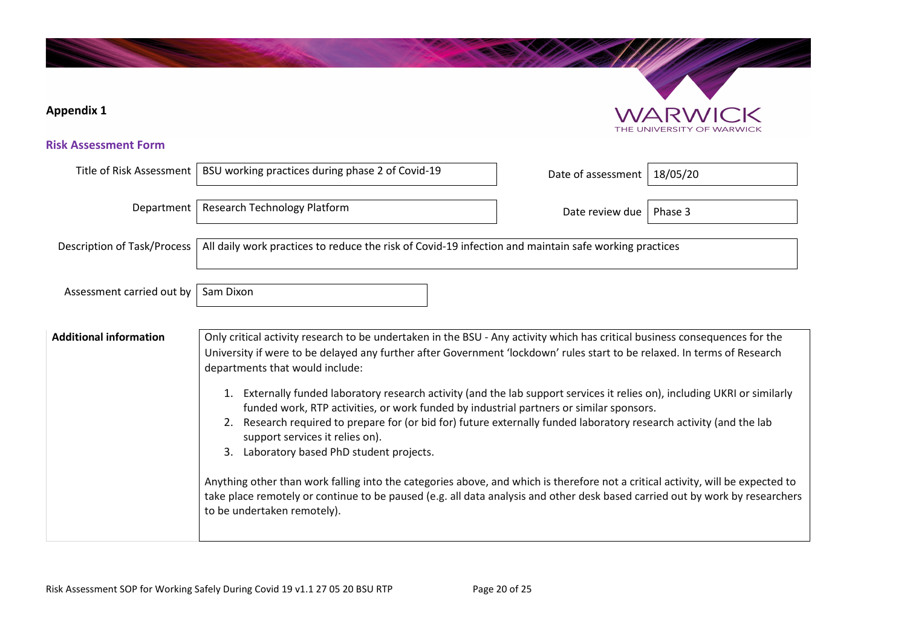# **Risk Assessment Form**  Title of Risk Assessment | BSU working practices during phase 2 of Covid-19 Date of assessment | 18/05/20 Department | Research Technology Platform | Department | Date review due Phase 3 Description of Task/Process  $\vert$  All daily work practices to reduce the risk of Covid-19 infection and maintain safe working practices Assessment carried out by  $\vert$  Sam Dixon Additional information and only critical activity research to be undertaken in the BSU - Any activity which has critical business consequences for the University if were to be delayed any further after Government 'lockdown' rules start to be relaxed. In terms of Research departments that would include: 1. Externally funded laboratory research activity (and the lab support services it relies on), including UKRI or similarly funded work, RTP activities, or work funded by industrial partners or similar sponsors. 2. Research required to prepare for (or bid for) future externally funded laboratory research activity (and the lab support services it relies on). 3. Laboratory based PhD student projects. Anything other than work falling into the categories above, and which is therefore not a critical activity, will be expected to take place remotely or continue to be paused (e.g. all data analysis and other desk based carried out by work by researchers to be undertaken remotely). **Appendix 1**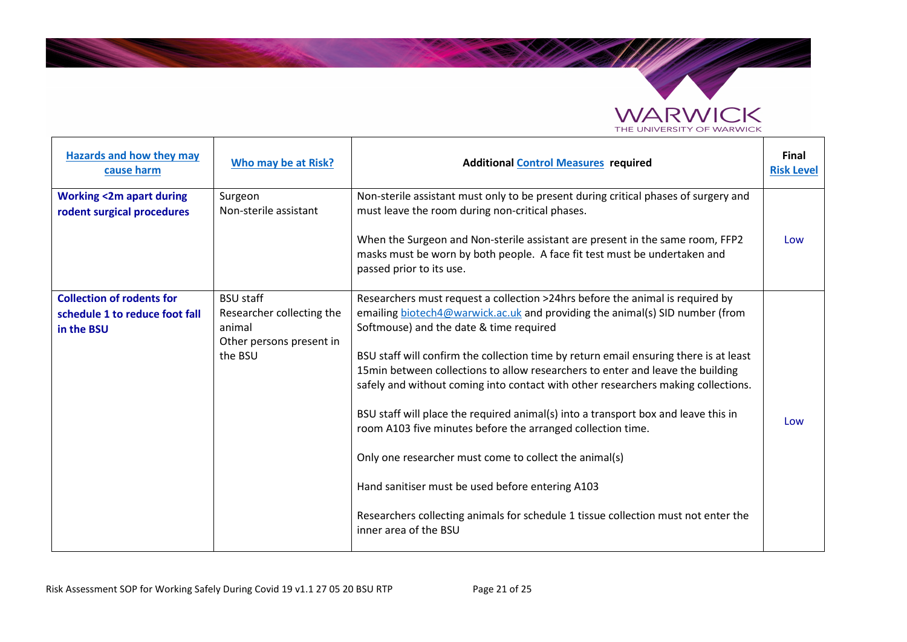

| <b>Hazards and how they may</b><br>cause harm                                    | Who may be at Risk?                                                                            | <b>Additional Control Measures required</b>                                                                                                                                                                                                                                                                                                                                                                                                                                                                                                                                                                                                                                                                                                                                                                                                                | <b>Final</b><br><b>Risk Level</b> |
|----------------------------------------------------------------------------------|------------------------------------------------------------------------------------------------|------------------------------------------------------------------------------------------------------------------------------------------------------------------------------------------------------------------------------------------------------------------------------------------------------------------------------------------------------------------------------------------------------------------------------------------------------------------------------------------------------------------------------------------------------------------------------------------------------------------------------------------------------------------------------------------------------------------------------------------------------------------------------------------------------------------------------------------------------------|-----------------------------------|
| <b>Working &lt;2m apart during</b><br>rodent surgical procedures                 | Surgeon<br>Non-sterile assistant                                                               | Non-sterile assistant must only to be present during critical phases of surgery and<br>must leave the room during non-critical phases.                                                                                                                                                                                                                                                                                                                                                                                                                                                                                                                                                                                                                                                                                                                     |                                   |
|                                                                                  |                                                                                                | When the Surgeon and Non-sterile assistant are present in the same room, FFP2<br>masks must be worn by both people. A face fit test must be undertaken and<br>passed prior to its use.                                                                                                                                                                                                                                                                                                                                                                                                                                                                                                                                                                                                                                                                     | Low                               |
| <b>Collection of rodents for</b><br>schedule 1 to reduce foot fall<br>in the BSU | <b>BSU staff</b><br>Researcher collecting the<br>animal<br>Other persons present in<br>the BSU | Researchers must request a collection >24hrs before the animal is required by<br>emailing biotech4@warwick.ac.uk and providing the animal(s) SID number (from<br>Softmouse) and the date & time required<br>BSU staff will confirm the collection time by return email ensuring there is at least<br>15min between collections to allow researchers to enter and leave the building<br>safely and without coming into contact with other researchers making collections.<br>BSU staff will place the required animal(s) into a transport box and leave this in<br>room A103 five minutes before the arranged collection time.<br>Only one researcher must come to collect the animal(s)<br>Hand sanitiser must be used before entering A103<br>Researchers collecting animals for schedule 1 tissue collection must not enter the<br>inner area of the BSU | Low                               |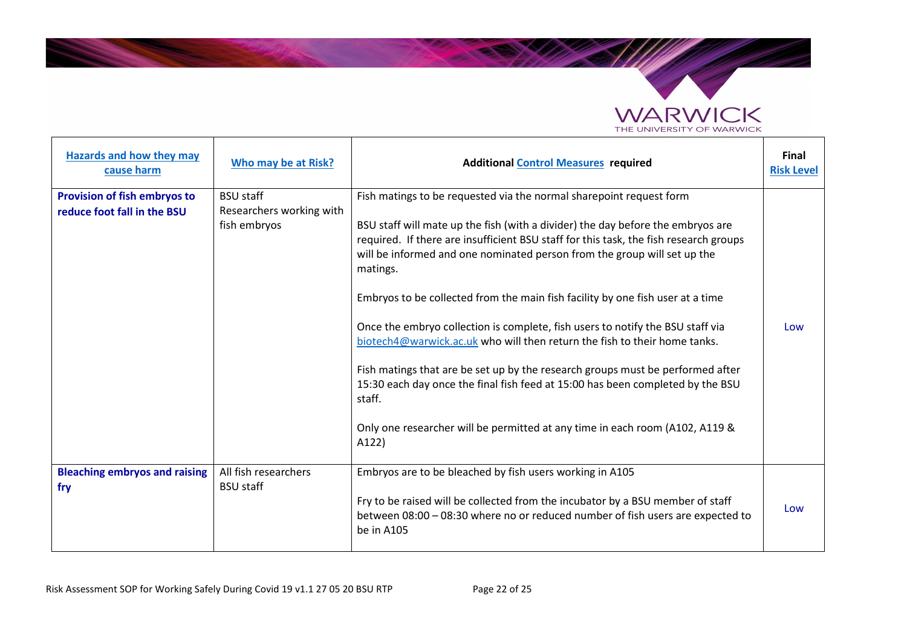

| Hazards and how they may<br>cause harm                      | Who may be at Risk?                                          | <b>Additional Control Measures required</b>                                                                                                                                                                                                                                                                                                                                                                                                                                                                                                                                              | <b>Final</b><br><b>Risk Level</b> |
|-------------------------------------------------------------|--------------------------------------------------------------|------------------------------------------------------------------------------------------------------------------------------------------------------------------------------------------------------------------------------------------------------------------------------------------------------------------------------------------------------------------------------------------------------------------------------------------------------------------------------------------------------------------------------------------------------------------------------------------|-----------------------------------|
| Provision of fish embryos to<br>reduce foot fall in the BSU | <b>BSU staff</b><br>Researchers working with<br>fish embryos | Fish matings to be requested via the normal sharepoint request form<br>BSU staff will mate up the fish (with a divider) the day before the embryos are<br>required. If there are insufficient BSU staff for this task, the fish research groups<br>will be informed and one nominated person from the group will set up the<br>matings.<br>Embryos to be collected from the main fish facility by one fish user at a time<br>Once the embryo collection is complete, fish users to notify the BSU staff via<br>biotech4@warwick.ac.uk who will then return the fish to their home tanks. | Low                               |
|                                                             |                                                              | Fish matings that are be set up by the research groups must be performed after<br>15:30 each day once the final fish feed at 15:00 has been completed by the BSU<br>staff.<br>Only one researcher will be permitted at any time in each room (A102, A119 &<br>A122)                                                                                                                                                                                                                                                                                                                      |                                   |
| <b>Bleaching embryos and raising</b><br>fry                 | All fish researchers<br><b>BSU staff</b>                     | Embryos are to be bleached by fish users working in A105<br>Fry to be raised will be collected from the incubator by a BSU member of staff<br>between 08:00 - 08:30 where no or reduced number of fish users are expected to<br>be in A105                                                                                                                                                                                                                                                                                                                                               | Low                               |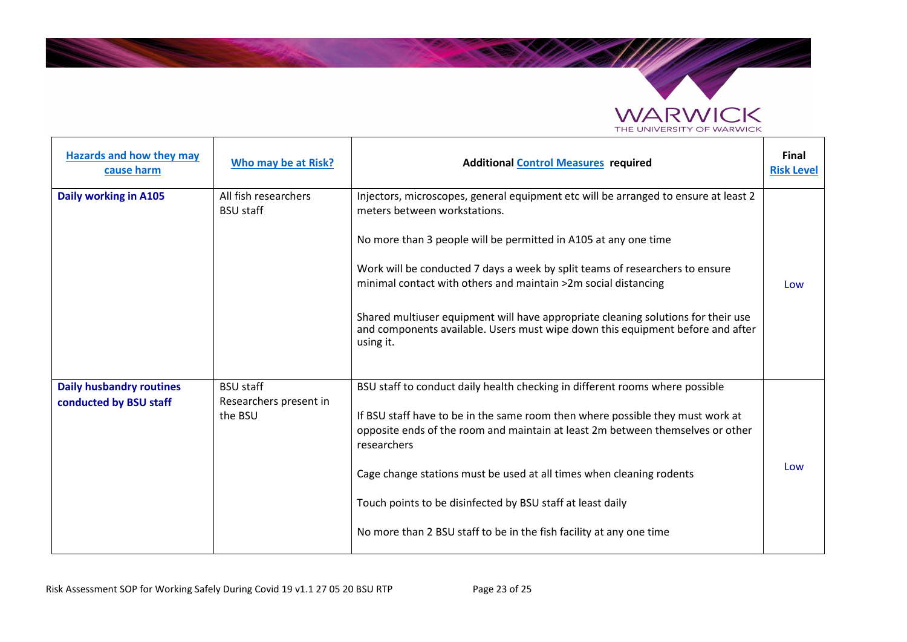

| Hazards and how they may<br>cause harm                    | Who may be at Risk?                                   | <b>Additional Control Measures required</b>                                                                                                                                                                                                                                                                                                                                                                                                                                                                                  | <b>Final</b><br><b>Risk Level</b> |
|-----------------------------------------------------------|-------------------------------------------------------|------------------------------------------------------------------------------------------------------------------------------------------------------------------------------------------------------------------------------------------------------------------------------------------------------------------------------------------------------------------------------------------------------------------------------------------------------------------------------------------------------------------------------|-----------------------------------|
| Daily working in A105                                     | All fish researchers<br><b>BSU staff</b>              | Injectors, microscopes, general equipment etc will be arranged to ensure at least 2<br>meters between workstations.<br>No more than 3 people will be permitted in A105 at any one time<br>Work will be conducted 7 days a week by split teams of researchers to ensure<br>minimal contact with others and maintain >2m social distancing<br>Shared multiuser equipment will have appropriate cleaning solutions for their use<br>and components available. Users must wipe down this equipment before and after<br>using it. | Low                               |
| <b>Daily husbandry routines</b><br>conducted by BSU staff | <b>BSU staff</b><br>Researchers present in<br>the BSU | BSU staff to conduct daily health checking in different rooms where possible<br>If BSU staff have to be in the same room then where possible they must work at<br>opposite ends of the room and maintain at least 2m between themselves or other<br>researchers<br>Cage change stations must be used at all times when cleaning rodents<br>Touch points to be disinfected by BSU staff at least daily<br>No more than 2 BSU staff to be in the fish facility at any one time                                                 | Low                               |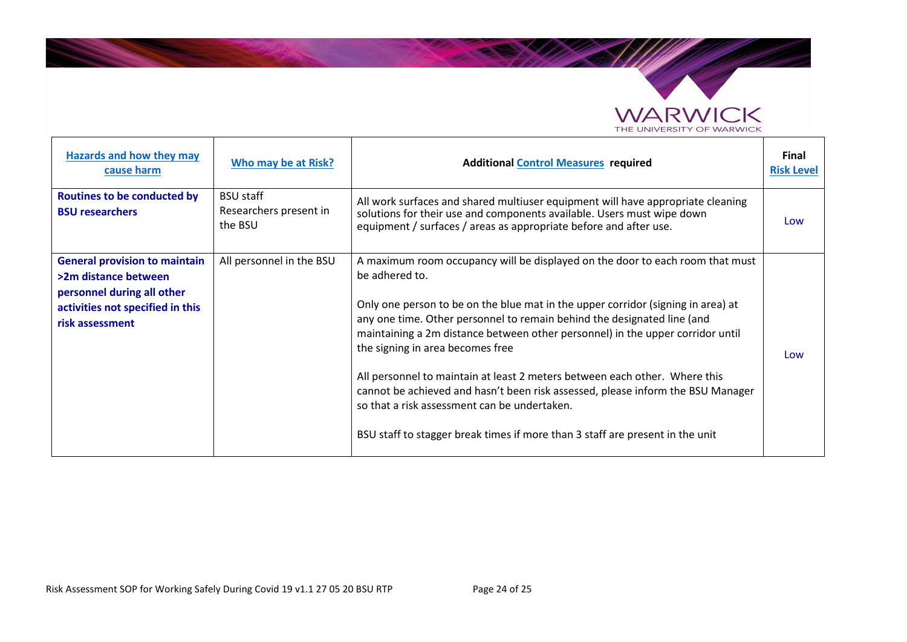

| Hazards and how they may<br>cause harm                                                                                                            | Who may be at Risk?                                   | <b>Additional Control Measures required</b>                                                                                                                                                                                                                                                                                                                                                                                                                                                                                                                                                                                                                                            | Final<br><b>Risk Level</b> |
|---------------------------------------------------------------------------------------------------------------------------------------------------|-------------------------------------------------------|----------------------------------------------------------------------------------------------------------------------------------------------------------------------------------------------------------------------------------------------------------------------------------------------------------------------------------------------------------------------------------------------------------------------------------------------------------------------------------------------------------------------------------------------------------------------------------------------------------------------------------------------------------------------------------------|----------------------------|
| <b>Routines to be conducted by</b><br><b>BSU researchers</b>                                                                                      | <b>BSU staff</b><br>Researchers present in<br>the BSU | All work surfaces and shared multiuser equipment will have appropriate cleaning<br>solutions for their use and components available. Users must wipe down<br>equipment / surfaces / areas as appropriate before and after use.                                                                                                                                                                                                                                                                                                                                                                                                                                                         | Low                        |
| <b>General provision to maintain</b><br>>2m distance between<br>personnel during all other<br>activities not specified in this<br>risk assessment | All personnel in the BSU                              | A maximum room occupancy will be displayed on the door to each room that must<br>be adhered to.<br>Only one person to be on the blue mat in the upper corridor (signing in area) at<br>any one time. Other personnel to remain behind the designated line (and<br>maintaining a 2m distance between other personnel) in the upper corridor until<br>the signing in area becomes free<br>All personnel to maintain at least 2 meters between each other. Where this<br>cannot be achieved and hasn't been risk assessed, please inform the BSU Manager<br>so that a risk assessment can be undertaken.<br>BSU staff to stagger break times if more than 3 staff are present in the unit | Low                        |

**Contractor**